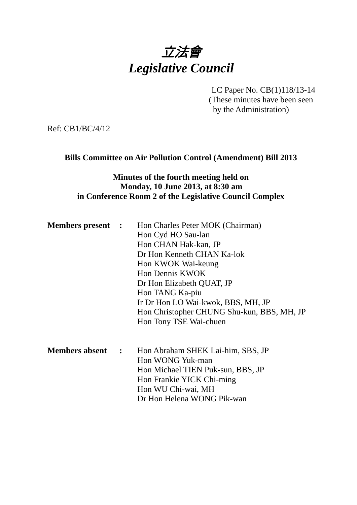

LC Paper No. CB(1)118/13-14 (These minutes have been seen by the Administration)

Ref: CB1/BC/4/12

#### **Bills Committee on Air Pollution Control (Amendment) Bill 2013**

### **Minutes of the fourth meeting held on Monday, 10 June 2013, at 8:30 am in Conference Room 2 of the Legislative Council Complex**

| <b>Members present :</b> |                | Hon Charles Peter MOK (Chairman)<br>Hon Cyd HO Sau-lan<br>Hon CHAN Hak-kan, JP<br>Dr Hon Kenneth CHAN Ka-lok<br>Hon KWOK Wai-keung<br>Hon Dennis KWOK<br>Dr Hon Elizabeth QUAT, JP<br>Hon TANG Ka-piu<br>Ir Dr Hon LO Wai-kwok, BBS, MH, JP<br>Hon Christopher CHUNG Shu-kun, BBS, MH, JP<br>Hon Tony TSE Wai-chuen |
|--------------------------|----------------|---------------------------------------------------------------------------------------------------------------------------------------------------------------------------------------------------------------------------------------------------------------------------------------------------------------------|
| <b>Members absent</b>    | $\mathbb{R}^2$ | Hon Abraham SHEK Lai-him, SBS, JP<br>Hon WONG Yuk-man<br>Hon Michael TIEN Puk-sun, BBS, JP<br>Hon Frankie YICK Chi-ming<br>Hon WU Chi-wai, MH<br>Dr Hon Helena WONG Pik-wan                                                                                                                                         |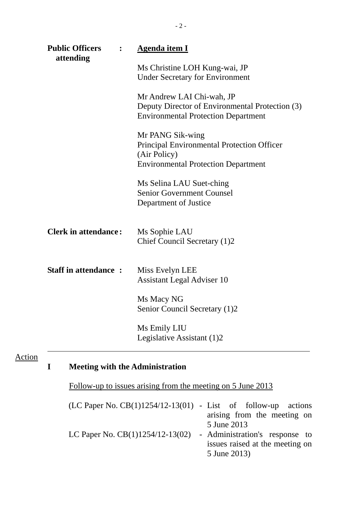| <b>Public Officers</b><br>attending | <b>Agenda item I</b>                                                                                                         |
|-------------------------------------|------------------------------------------------------------------------------------------------------------------------------|
|                                     | Ms Christine LOH Kung-wai, JP<br><b>Under Secretary for Environment</b>                                                      |
|                                     | Mr Andrew LAI Chi-wah, JP<br>Deputy Director of Environmental Protection (3)<br><b>Environmental Protection Department</b>   |
|                                     | Mr PANG Sik-wing<br>Principal Environmental Protection Officer<br>(Air Policy)<br><b>Environmental Protection Department</b> |
|                                     | Ms Selina LAU Suet-ching<br><b>Senior Government Counsel</b><br>Department of Justice                                        |
| <b>Clerk in attendance:</b>         | Ms Sophie LAU<br>Chief Council Secretary (1)2                                                                                |
| <b>Staff in attendance:</b>         | Miss Evelyn LEE<br><b>Assistant Legal Adviser 10</b>                                                                         |
|                                     | Ms Macy NG<br>Senior Council Secretary (1)2                                                                                  |
|                                     | Ms Emily LIU<br>Legislative Assistant (1)2                                                                                   |

# Action

# **I Meeting with the Administration**

Follow-up to issues arising from the meeting on 5 June 2013

| $(LC$ Paper No. $CB(1)1254/12-13(01)$ - List of follow-up actions |                                 |
|-------------------------------------------------------------------|---------------------------------|
|                                                                   | arising from the meeting on     |
|                                                                   | 5 June 2013                     |
| LC Paper No. $CB(1)1254/12-13(02)$                                | - Administration's response to  |
|                                                                   | issues raised at the meeting on |
|                                                                   | 5 June 2013)                    |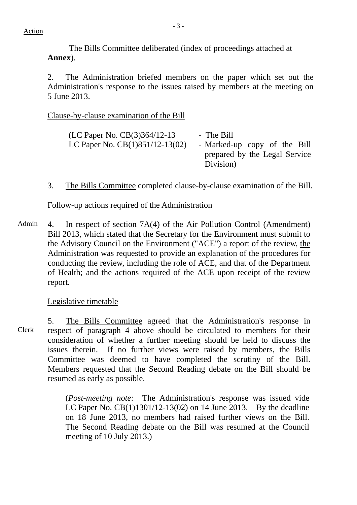The Bills Committee deliberated (index of proceedings attached at **Annex**).

2. The Administration briefed members on the paper which set out the Administration's response to the issues raised by members at the meeting on 5 June 2013.

### Clause-by-clause examination of the Bill

| (LC Paper No. $CB(3)364/12-13$ )  | - The Bill                                 |
|-----------------------------------|--------------------------------------------|
| LC Paper No. $CB(1)851/12-13(02)$ | - Marked-up copy of the Bill               |
|                                   | prepared by the Legal Service<br>Division) |

3. The Bills Committee completed clause-by-clause examination of the Bill.

#### Follow-up actions required of the Administration

Admin 4. In respect of section 7A(4) of the Air Pollution Control (Amendment) Bill 2013, which stated that the Secretary for the Environment must submit to the Advisory Council on the Environment ("ACE") a report of the review, the Administration was requested to provide an explanation of the procedures for conducting the review, including the role of ACE, and that of the Department of Health; and the actions required of the ACE upon receipt of the review report.

#### Legislative timetable

Clerk 5. The Bills Committee agreed that the Administration's response in respect of paragraph 4 above should be circulated to members for their consideration of whether a further meeting should be held to discuss the issues therein. If no further views were raised by members, the Bills Committee was deemed to have completed the scrutiny of the Bill. Members requested that the Second Reading debate on the Bill should be resumed as early as possible.

> (*Post-meeting note:* The Administration's response was issued vide LC Paper No. CB(1)1301/12-13(02) on 14 June 2013. By the deadline on 18 June 2013, no members had raised further views on the Bill. The Second Reading debate on the Bill was resumed at the Council meeting of 10 July 2013.)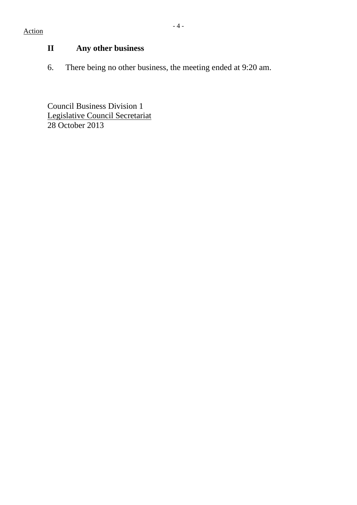## Action

# **II Any other business**

6. There being no other business, the meeting ended at 9:20 am.

Council Business Division 1 Legislative Council Secretariat 28 October 2013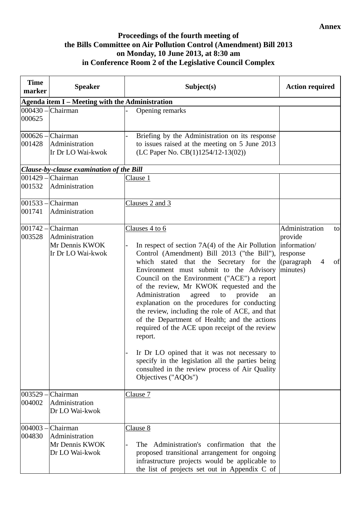#### **Annex**

### **Proceedings of the fourth meeting of the Bills Committee on Air Pollution Control (Amendment) Bill 2013 on Monday, 10 June 2013, at 8:30 am in Conference Room 2 of the Legislative Council Complex**

| <b>Time</b><br>marker | <b>Speaker</b>                                                                 | Subject(s)                                                                                                                                                                                                                                                                                                                                                                                                                                                                                                                                                                                                                                                                                                                                                         | <b>Action required</b>                                                                        |
|-----------------------|--------------------------------------------------------------------------------|--------------------------------------------------------------------------------------------------------------------------------------------------------------------------------------------------------------------------------------------------------------------------------------------------------------------------------------------------------------------------------------------------------------------------------------------------------------------------------------------------------------------------------------------------------------------------------------------------------------------------------------------------------------------------------------------------------------------------------------------------------------------|-----------------------------------------------------------------------------------------------|
|                       | Agenda item I - Meeting with the Administration                                |                                                                                                                                                                                                                                                                                                                                                                                                                                                                                                                                                                                                                                                                                                                                                                    |                                                                                               |
| $000430 -$<br>000625  | Chairman                                                                       | Opening remarks                                                                                                                                                                                                                                                                                                                                                                                                                                                                                                                                                                                                                                                                                                                                                    |                                                                                               |
| 001428                | $000626$ - Chairman<br>Administration<br>Ir Dr LO Wai-kwok                     | Briefing by the Administration on its response<br>to issues raised at the meeting on 5 June 2013<br>(LC Paper No. CB(1)1254/12-13(02))                                                                                                                                                                                                                                                                                                                                                                                                                                                                                                                                                                                                                             |                                                                                               |
|                       | Clause-by-clause examination of the Bill                                       |                                                                                                                                                                                                                                                                                                                                                                                                                                                                                                                                                                                                                                                                                                                                                                    |                                                                                               |
| 001532                | $001429$ – Chairman<br>Administration                                          | Clause 1                                                                                                                                                                                                                                                                                                                                                                                                                                                                                                                                                                                                                                                                                                                                                           |                                                                                               |
| 001741                | $001533$ - Chairman<br>Administration                                          | Clauses 2 and 3                                                                                                                                                                                                                                                                                                                                                                                                                                                                                                                                                                                                                                                                                                                                                    |                                                                                               |
| 003528                | $ 001742 - $ Chairman<br>Administration<br>Mr Dennis KWOK<br>Ir Dr LO Wai-kwok | Clauses 4 to 6<br>In respect of section $7A(4)$ of the Air Pollution  information/<br>Control (Amendment) Bill 2013 ("the Bill"),<br>which stated that the Secretary for the<br>Environment must submit to the Advisory<br>Council on the Environment ("ACE") a report<br>of the review, Mr KWOK requested and the<br>Administration<br>agreed<br>provide<br>to<br>an<br>explanation on the procedures for conducting<br>the review, including the role of ACE, and that<br>of the Department of Health; and the actions<br>required of the ACE upon receipt of the review<br>report.<br>Ir Dr LO opined that it was not necessary to<br>specify in the legislation all the parties being<br>consulted in the review process of Air Quality<br>Objectives ("AQOs") | Administration<br>to<br>provide<br>response<br>(paragraph<br>of<br>$\overline{4}$<br>minutes) |
| 003529 -<br>004002    | Chairman<br>Administration<br>Dr LO Wai-kwok                                   | Clause 7                                                                                                                                                                                                                                                                                                                                                                                                                                                                                                                                                                                                                                                                                                                                                           |                                                                                               |
| 004003 -<br>004830    | Chairman<br>Administration<br>Mr Dennis KWOK<br>Dr LO Wai-kwok                 | Clause 8<br>The Administration's confirmation that the<br>proposed transitional arrangement for ongoing<br>infrastructure projects would be applicable to<br>the list of projects set out in Appendix C of                                                                                                                                                                                                                                                                                                                                                                                                                                                                                                                                                         |                                                                                               |